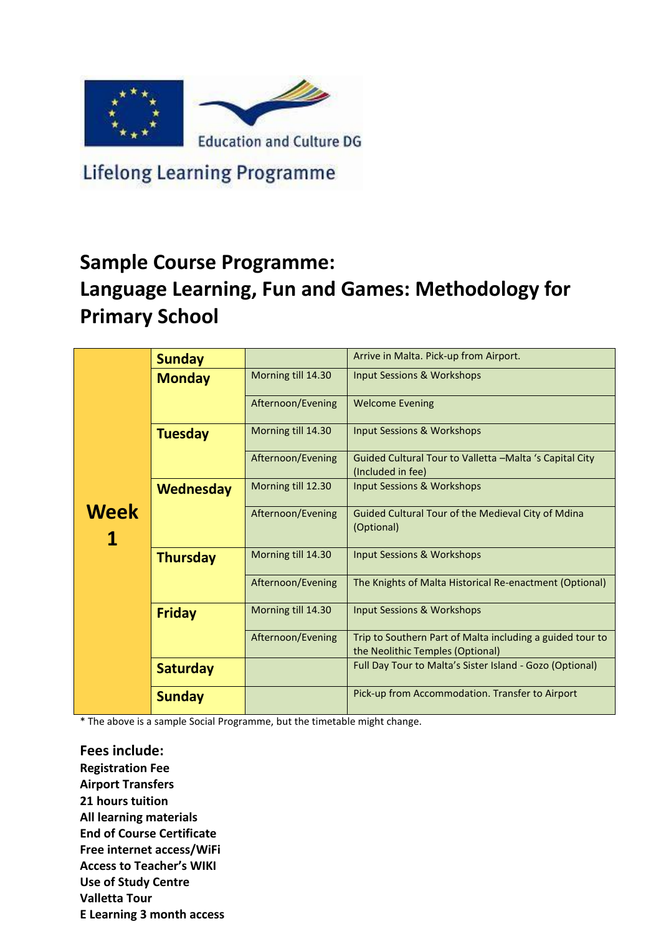

**Lifelong Learning Programme** 

## **Sample Course Programme: Language Learning, Fun and Games: Methodology for Primary School**

|             | <b>Sunday</b>    |                    | Arrive in Malta. Pick-up from Airport.                                                        |  |  |
|-------------|------------------|--------------------|-----------------------------------------------------------------------------------------------|--|--|
|             | <b>Monday</b>    | Morning till 14.30 | Input Sessions & Workshops                                                                    |  |  |
|             |                  | Afternoon/Evening  | <b>Welcome Evening</b>                                                                        |  |  |
|             | <b>Tuesday</b>   | Morning till 14.30 | Input Sessions & Workshops                                                                    |  |  |
|             |                  | Afternoon/Evening  | Guided Cultural Tour to Valletta -Malta 's Capital City<br>(Included in fee)                  |  |  |
|             | <b>Wednesday</b> | Morning till 12.30 | <b>Input Sessions &amp; Workshops</b>                                                         |  |  |
| <b>Week</b> |                  | Afternoon/Evening  | Guided Cultural Tour of the Medieval City of Mdina<br>(Optional)                              |  |  |
|             | <b>Thursday</b>  | Morning till 14.30 | Input Sessions & Workshops                                                                    |  |  |
|             |                  | Afternoon/Evening  | The Knights of Malta Historical Re-enactment (Optional)                                       |  |  |
|             | <b>Friday</b>    | Morning till 14.30 | Input Sessions & Workshops                                                                    |  |  |
|             |                  | Afternoon/Evening  | Trip to Southern Part of Malta including a guided tour to<br>the Neolithic Temples (Optional) |  |  |
|             | <b>Saturday</b>  |                    | Full Day Tour to Malta's Sister Island - Gozo (Optional)                                      |  |  |
|             | <b>Sunday</b>    |                    | Pick-up from Accommodation. Transfer to Airport                                               |  |  |

\* The above is a sample Social Programme, but the timetable might change.

**Fees include: Registration Fee Airport Transfers 21 hours tuition All learning materials End of Course Certificate Free internet access/WiFi Access to Teacher's WIKI Use of Study Centre Valletta Tour E Learning 3 month access**